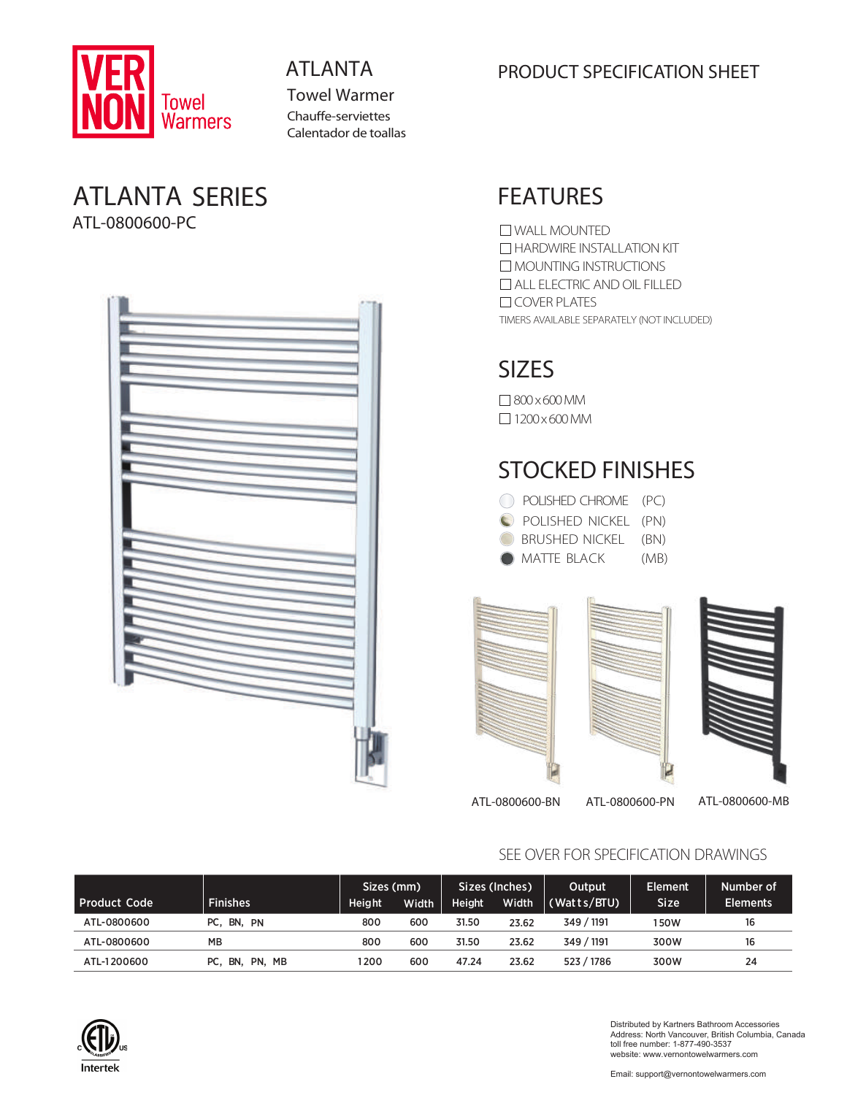

Towel Warmer Chauffe-serviettes Calentador de toallas

#### ATLANTA SERIES ATL-0800600-PC



#### ATLANTA PRODUCT SPECIFICATION SHEET

## FEATURES

TIMERS AVAILABLE SEPARATELY (NOT INCLUDED) WALL MOUNTED **HARDWIRE INSTALLATION KIT** MOUNTING INSTRUCTIONS ALL ELECTRIC AND OIL FILLED  $\Box$  COVER PLATES

# SIZES

800 x 600 MM  $\Box$  1200 x 600 MM

# STOCKED FINISHES

| C POLISHED CHROME (PC) |      |
|------------------------|------|
| POLISHED NICKEL (PN)   |      |
| BRUSHED NICKEL (BN)    |      |
| <b>MATTE BLACK</b>     | (MB) |



ATL-0800600-BN ATL-0800600-PN ATL-0800600-MB

SEE OVER FOR SPECIFICATION DRAWINGS

| <b>Product Code</b> | <b>Finishes</b>        | Sizes (mm)<br><b>Height</b> | Width | <b>Height</b> | Sizes (Inches)<br>Width | Output<br>(Watts/BTU) | <b>Element</b><br>Size <sup>'</sup> | Number of<br><b>Elements</b> |
|---------------------|------------------------|-----------------------------|-------|---------------|-------------------------|-----------------------|-------------------------------------|------------------------------|
| ATL-0800600         | PC, BN, PN             | 800                         | 600   | 31.50         | 23.62                   | 349 / 1191            | 150W                                | 16                           |
| ATL-0800600         | <b>MB</b>              | 800                         | 600   | 31.50         | 23.62                   | 349 / 1191            | 300W                                | 16                           |
| ATL-1200600         | PC.<br>ີ BN,<br>PN, MB | 1200                        | 600   | 47.24         | 23.62                   | 523 / 1786            | 300W                                | 24                           |



Distributed by Kartners Bathroom Accessories Address: North Vancouver, British Columbia, Canada toll free number: 1-877-490-3537 website: www.vernontowelwarmers.com